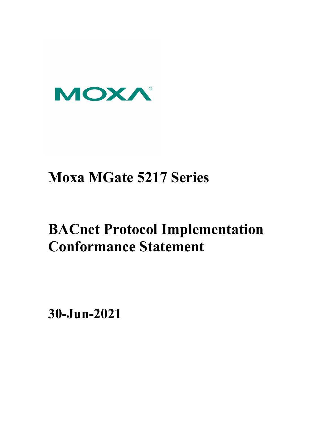

## **Moxa MGate 5217 Series**

# **BACnet Protocol Implementation Conformance Statement**

**30-Jun-2021**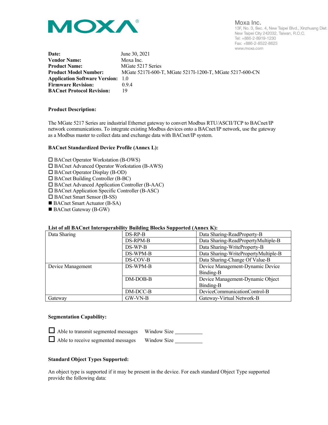

Moxa Inc. 13F, No. 3, Sec. 4, New Taipei Blvd., Xinzhuang Dist. New Taipei City 242032, Taiwan, R.O.C. Tel: +886-2-8919-1230 Fax: +886-2-8522-8623 www.moxa.com

| Date:                                    | June 30, 2021                                            |
|------------------------------------------|----------------------------------------------------------|
| <b>Vendor Name:</b>                      | Moxa Inc.                                                |
| <b>Product Name:</b>                     | MGate 5217 Series                                        |
| <b>Product Model Number:</b>             | MGate 5217I-600-T, MGate 5217I-1200-T, MGate 5217-600-CN |
| <b>Application Software Version:</b> 1.0 |                                                          |
| <b>Firmware Revision:</b>                | 0.9.4                                                    |
| <b>BACnet Protocol Revision:</b>         | 19                                                       |
|                                          |                                                          |

#### **Product Description:**

The MGate 5217 Series are industrial Ethernet gateway to convert Modbus RTU/ASCII/TCP to BACnet/IP network communications. To integrate existing Modbus devices onto a BACnet/IP network, use the gateway as a Modbus master to collect data and exchange data with BACnet/IP system.

#### **BACnet Standardized Device Profile (Annex L):**

□ BACnet Operator Workstation (B-OWS)

BACnet Advanced Operator Workstation (B-AWS)

□ BACnet Operator Display (B-OD)

BACnet Building Controller (B-BC)

BACnet Advanced Application Controller (B-AAC)

BACnet Application Specific Controller (B-ASC)

□ BACnet Smart Sensor (B-SS)

■ BACnet Smart Actuator (B-SA)

■ BACnet Gateway (B-GW)

#### **List of all BACnet Interoperability Building Blocks Supported (Annex K):**

| Data Sharing      | DS-RP-B    | Data Sharing-ReadProperty-B          |
|-------------------|------------|--------------------------------------|
|                   | DS-RPM-B   | Data Sharing-ReadPropertyMultiple-B  |
|                   | DS-WP-B    | Data Sharing-WriteProperty-B         |
|                   | DS-WPM-B   | Data Sharing-WritePropertyMultiple-B |
|                   | DS-COV-B   | Data Sharing-Change Of Value-B       |
| Device Management | DS-WPM-B   | Device Management-Dynamic Device     |
|                   |            | Binding-B                            |
|                   | DM-DOB-B   | Device Management-Dynamic Object     |
|                   |            | Binding-B                            |
|                   | $DM-DCC-B$ | DeviceCommunicationControl-B         |
| Gateway           | GW-VN-B    | Gateway-Virtual Network-B            |

#### **Segmentation Capability:**

| Able to transmit segmented messages    Window Size |  |
|----------------------------------------------------|--|
| Able to receive segmented messages Window Size     |  |

#### **Standard Object Types Supported:**

An object type is supported if it may be present in the device. For each standard Object Type supported provide the following data: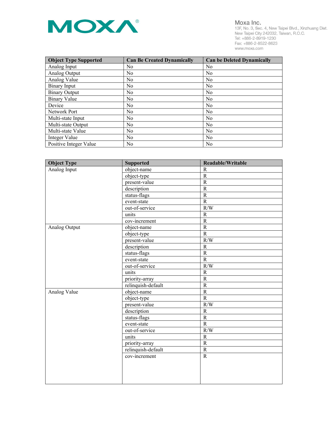

Moxa Inc. 1916. 111. 1997.<br>1997. No. 3, Sec. 4, New Taipei Blvd., Xinzhuang Dist.<br>New Taipei City 242032, Taiwan, R.O.C.<br>Tel: +886-2-8919-1230 Fax: +886-2-8522-8623 www.moxa.com

| <b>Object Type Supported</b> | <b>Can Be Created Dynamically</b> | <b>Can be Deleted Dynamically</b> |
|------------------------------|-----------------------------------|-----------------------------------|
| Analog Input                 | N <sub>0</sub>                    | No                                |
| Analog Output                | N <sub>0</sub>                    | N <sub>0</sub>                    |
| Analog Value                 | N <sub>0</sub>                    | N <sub>0</sub>                    |
| Binary Input                 | N <sub>0</sub>                    | N <sub>0</sub>                    |
| <b>Binary Output</b>         | N <sub>0</sub>                    | N <sub>0</sub>                    |
| <b>Binary Value</b>          | N <sub>0</sub>                    | N <sub>0</sub>                    |
| Device                       | N <sub>0</sub>                    | No                                |
| Network Port                 | N <sub>o</sub>                    | N <sub>0</sub>                    |
| Multi-state Input            | N <sub>0</sub>                    | N <sub>0</sub>                    |
| Multi-state Output           | N <sub>0</sub>                    | N <sub>0</sub>                    |
| Multi-state Value            | N <sub>0</sub>                    | N <sub>0</sub>                    |
| Integer Value                | N <sub>0</sub>                    | No                                |
| Positive Integer Value       | N <sub>0</sub>                    | N <sub>0</sub>                    |

| <b>Object Type</b> | <b>Supported</b>   | Readable/Writable |
|--------------------|--------------------|-------------------|
| Analog Input       | object-name        | $\mathbb{R}$      |
|                    | object-type        | ${\bf R}$         |
|                    | present-value      | $\overline{R}$    |
|                    | description        | $\mathbf R$       |
|                    | status-flags       | $\mathbf R$       |
|                    | event-state        | ${\bf R}$         |
|                    | out-of-service     | R/W               |
|                    | units              | $\mathbf R$       |
|                    | cov-increment      | $\mathbf R$       |
| Analog Output      | object-name        | $\mathbf R$       |
|                    | object-type        | ${\bf R}$         |
|                    | present-value      | R/W               |
|                    | description        | ${\bf R}$         |
|                    | status-flags       | ${\bf R}$         |
|                    | event-state        | $\mathbf R$       |
|                    | out-of-service     | R/W               |
|                    | units              | R                 |
|                    | priority-array     | $\mathbf R$       |
|                    | relinquish-default | ${\bf R}$         |
| Analog Value       | object-name        | $\mathbf R$       |
|                    | object-type        | $\mathbf R$       |
|                    | present-value      | R/W               |
|                    | description        | ${\bf R}$         |
|                    | status-flags       | ${\bf R}$         |
|                    | event-state        | $\overline{R}$    |
|                    | out-of-service     | R/W               |
|                    | units              | $\mathbf R$       |
|                    | priority-array     | $\mathbf R$       |
|                    | relinquish-default | ${\bf R}$         |
|                    | cov-increment      | ${\bf R}$         |
|                    |                    |                   |
|                    |                    |                   |
|                    |                    |                   |
|                    |                    |                   |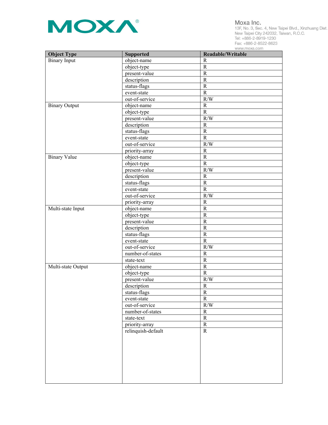

Moxa Inc.

1916. 111. 1997.<br>1997. No. 3, Sec. 4, New Taipei Blvd., Xinzhuang Dist.<br>New Taipei City 242032, Taiwan, R.O.C.<br>Tel: +886-2-8919-1230 Fax: +886-2-8522-8623 www.moxa.com

| <b>Object Type</b>   | <b>Supported</b>   | Readable/Writable        |
|----------------------|--------------------|--------------------------|
| <b>Binary</b> Input  | object-name        | $\mathbf R$              |
|                      | object-type        | $\mathbf R$              |
|                      | present-value      | $\mathbf R$              |
|                      | description        | $\mathbf R$              |
|                      | status-flags       | ${\bf R}$                |
|                      | event-state        | $\mathbf R$              |
|                      | out-of-service     | R/W                      |
| <b>Binary Output</b> | object-name        | $\mathbf R$              |
|                      | object-type        | $\mathbf R$              |
|                      | present-value      | R/W                      |
|                      | description        | $\mathbf R$              |
|                      | status-flags       | ${\bf R}$                |
|                      | event-state        | $\mathbf R$              |
|                      | out-of-service     | R/W                      |
|                      | priority-array     | $\mathbf R$              |
| <b>Binary Value</b>  | object-name        | ${\bf R}$                |
|                      | object-type        | $\mathbf R$              |
|                      | present-value      | R/W                      |
|                      | description        | $\mathbb{R}$             |
|                      | status-flags       | ${\bf R}$                |
|                      | event-state        | $\mathbf R$              |
|                      | out-of-service     | R/W                      |
|                      |                    | $\mathbf R$              |
|                      | priority-array     | ${\bf R}$                |
| Multi-state Input    | object-name        | ${\bf R}$                |
|                      | object-type        | ${\bf R}$                |
|                      | present-value      |                          |
|                      | description        | ${\bf R}$                |
|                      | status-flags       | ${\bf R}$<br>$\mathbf R$ |
|                      | event-state        |                          |
|                      | out-of-service     | R/W                      |
|                      | number-of-states   | ${\bf R}$                |
|                      | state-text         | ${\bf R}$                |
| Multi-state Output   | object-name        | ${\bf R}$                |
|                      | object-type        | $\mathbf R$              |
|                      | present-value      | R/W                      |
|                      | description        | $\mathbf R$              |
|                      | status-flags       | $\mathbf R$              |
|                      | event-state        | $\mathbf R$              |
|                      | out-of-service     | $\rm R/W$                |
|                      | number-of-states   | $\mathbf R$              |
|                      | state-text         | ${\bf R}$                |
|                      | priority-array     | $\mathbf R$              |
|                      | relinquish-default | $\mathbf R$              |
|                      |                    |                          |
|                      |                    |                          |
|                      |                    |                          |
|                      |                    |                          |
|                      |                    |                          |
|                      |                    |                          |
|                      |                    |                          |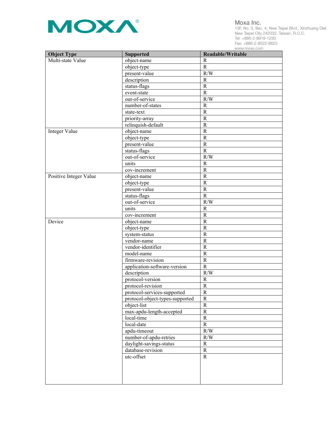

Moxa Inc.

1916. 111. 1997.<br>1997. No. 3, Sec. 4, New Taipei Blvd., Xinzhuang Dist.<br>New Taipei City 242032, Taiwan, R.O.C.<br>Tel: +886-2-8919-1230 Fax: +886-2-8522-8623 www.moxa.com

| <b>Object Type</b>     | <b>Supported</b>                | Readable/Writable |
|------------------------|---------------------------------|-------------------|
| Multi-state Value      | object-name                     | $\mathbb{R}$      |
|                        | object-type                     | $\mathbf R$       |
|                        | present-value                   | R/W               |
|                        | description                     | $\mathbb{R}$      |
|                        | status-flags                    | $\mathbf R$       |
|                        | event-state                     | $\mathbf R$       |
|                        | out-of-service                  | R/W               |
|                        | number-of-states                | $\mathbb{R}$      |
|                        | state-text                      | $\mathbf R$       |
|                        | priority-array                  | $\mathbf R$       |
|                        | relinquish-default              | $\mathbf R$       |
| Integer Value          | object-name                     | $\mathbf R$       |
|                        | object-type                     | $\mathbf R$       |
|                        | present-value                   | $\mathbf R$       |
|                        | status-flags                    | $\mathbf R$       |
|                        | out-of-service                  | R/W               |
|                        | units                           | $\mathbb{R}$      |
|                        | cov-increment                   | $\mathbf R$       |
| Positive Integer Value | object-name                     | $\mathbf R$       |
|                        | object-type                     | $\mathbf R$       |
|                        | present-value                   | $\mathbf R$       |
|                        | status-flags                    | $\mathbf R$       |
|                        | out-of-service                  | R/W               |
|                        | units                           | $\mathbb{R}$      |
|                        | cov-increment                   | $\mathbf R$       |
| Device                 | object-name                     | $\mathbf R$       |
|                        | object-type                     | $\mathbf R$       |
|                        | system-status                   | $\mathbf R$       |
|                        | vendor-name                     | $\mathbf R$       |
|                        | vendor-identifier               | ${\bf R}$         |
|                        | model-name                      | ${\bf R}$         |
|                        | firmware-revision               | $\mathbf R$       |
|                        | application-software-version    | $\mathbf R$       |
|                        | description                     | R/W               |
|                        | protocol-version                | $\mathbf R$       |
|                        | protocol-revision               | $\mathbb{R}$      |
|                        | protocol-services-supported     | R                 |
|                        | protocol-object-types-supported | $\mathbb{R}$      |
|                        | object-list                     | ${\bf R}$         |
|                        | max-apdu-length-accepted        | ${\bf R}$         |
|                        | local-time                      | ${\bf R}$         |
|                        | local-date                      | $\mathbf R$       |
|                        | apdu-timeout                    | R/W               |
|                        | number-of-apdu-retries          | R/W               |
|                        | daylight-savings-status         | $\mathbf R$       |
|                        | database-revision               | ${\bf R}$         |
|                        | utc-offset                      | $\mathbf R$       |
|                        |                                 |                   |
|                        |                                 |                   |
|                        |                                 |                   |
|                        |                                 |                   |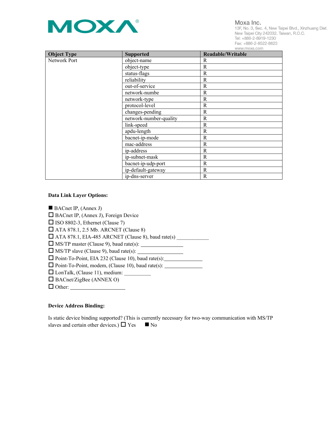

Moxa Inc.

13F, No. 3, Sec. 4, New Taipei Blvd., Xinzhuang Dist. New Taipei City 242032, Taiwan, R.O.C. Tel: +886-2-8919-1230 Fax: +886-2-8522-8623

| <b>Object Type</b> | <b>Supported</b>       | www.moxa.com<br><b>Readable/Writable</b> |
|--------------------|------------------------|------------------------------------------|
| Network Port       | object-name            | R                                        |
|                    |                        |                                          |
|                    | object-type            | R                                        |
|                    | status-flags           | $\mathbf R$                              |
|                    | reliability            | $\mathbf R$                              |
|                    | out-of-service         | R                                        |
|                    | network-numbe          | R                                        |
|                    | network-type           | $\mathbf R$                              |
|                    | protocol-level         | R                                        |
|                    | changes-pending        | R                                        |
|                    | network-number-quality | $\mathbf R$                              |
|                    | link-speed             | $\mathbf R$                              |
|                    | apdu-length            | R                                        |
|                    | bacnet-ip-mode         | R                                        |
|                    | mac-address            | $\mathbb{R}$                             |
|                    | ip-address             | R                                        |
|                    | ip-subnet-mask         | R                                        |
|                    | bacnet-ip-udp-port     | R                                        |
|                    | ip-default-gateway     | $\mathbb{R}$                             |
|                    | ip-dns-server          | R                                        |

## **Data Link Layer Options:**

BACnet IP, (Annex J) □ BACnet IP, (Annex J), Foreign Device  $\Box$  ISO 8802-3, Ethernet (Clause 7) ATA 878.1, 2.5 Mb. ARCNET (Clause 8) ATA 878.1, EIA-485 ARCNET (Clause 8), baud rate(s) \_\_\_\_\_\_\_\_\_\_\_\_  $\Box$  MS/TP master (Clause 9), baud rate(s):  $\Box$  $\Box$  MS/TP slave (Clause 9), baud rate(s):  $\Box$ □ Point-To-Point, EIA 232 (Clause 10), baud rate(s): □ Point-To-Point, modem, (Clause 10), baud rate(s): \_\_\_\_\_\_\_\_\_\_\_\_\_\_\_\_\_\_\_\_\_\_\_\_\_\_\_\_  $\Box$  LonTalk, (Clause 11), medium:  $\Box$  BACnet/ZigBee (ANNEX O) Other:

## **Device Address Binding:**

Is static device binding supported? (This is currently necessary for two-way communication with MS/TP slaves and certain other devices.)  $\Box$  Yes  $\Box$  No